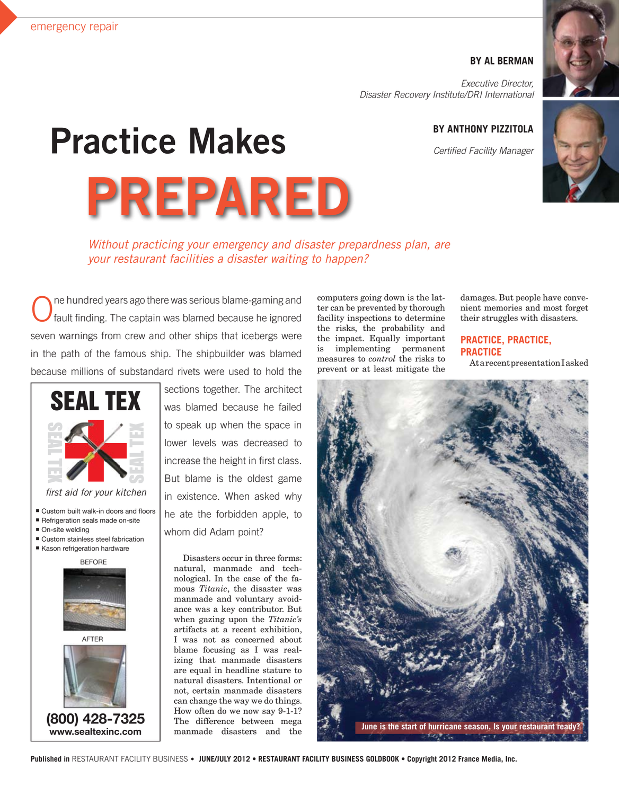### **BY AL BERMAN**

*Executive Director, Disaster Recovery Institute/DRI International*

## **BY ANTHONY PIZZITOLA**

*Certified Facility Manager*



# **Practice Makes**

**PREPARED**

*Without practicing your emergency and disaster prepardness plan, are your restaurant facilities a disaster waiting to happen?*

ne hundred years ago there was serious blame-gaming and fault finding. The captain was blamed because he ignored seven warnings from crew and other ships that icebergs were in the path of the famous ship. The shipbuilder was blamed because millions of substandard rivets were used to hold the



*fi rst aid for your kitchen*

- Custom built walk-in doors and floors
- Refrigeration seals made on-site
- On-site welding
- Custom stainless steel fabrication Kason refrigeration hardware

**BEFORE** 

AFTER



**(800) 428-7325 www.sealtexinc.com**

sections together. The architect was blamed because he failed to speak up when the space in lower levels was decreased to increase the height in first class. But blame is the oldest game in existence. When asked why he ate the forbidden apple, to whom did Adam point?

Disasters occur in three forms: natural, manmade and technological. In the case of the famous *Titanic*, the disaster was manmade and voluntary avoidance was a key contributor. But when gazing upon the *Titanic's* artifacts at a recent exhibition, I was not as concerned about blame focusing as I was realizing that manmade disasters are equal in headline stature to natural disasters. Intentional or not, certain manmade disasters can change the way we do things. How often do we now say 9-1-1? The difference between mega manmade disasters and the

computers going down is the latter can be prevented by thorough facility inspections to determine the risks, the probability and the impact. Equally important is implementing permanent measures to *control* the risks to prevent or at least mitigate the

damages. But people have convenient memories and most forget their struggles with disasters.

## **Practice, Practice, Practice**

At a recent presentation I asked

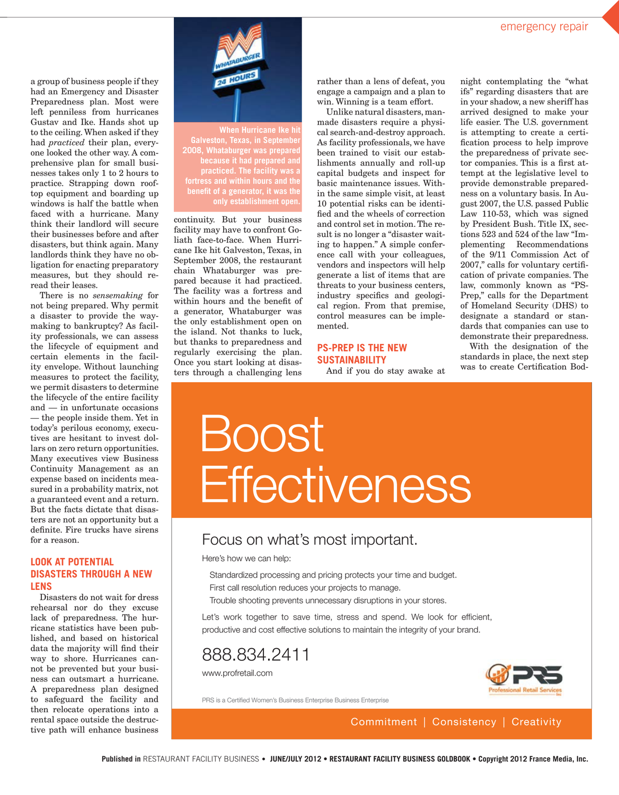w

a group of business people if they had an Emergency and Disaster Preparedness plan. Most were left penniless from hurricanes Gustav and Ike. Hands shot up to the ceiling. When asked if they had *practiced* their plan, everyone looked the other way. A comprehensive plan for small businesses takes only 1 to 2 hours to practice. Strapping down rooftop equipment and boarding up windows is half the battle when faced with a hurricane. Many think their landlord will secure their businesses before and after disasters, but think again. Many landlords think they have no obligation for enacting preparatory measures, but they should reread their leases.

There is no *sensemaking* for not being prepared. Why permit a disaster to provide the waymaking to bankruptcy? As facility professionals, we can assess the lifecycle of equipment and certain elements in the facility envelope. Without launching measures to protect the facility, we permit disasters to determine the lifecycle of the entire facility and — in unfortunate occasions — the people inside them. Yet in today's perilous economy, executives are hesitant to invest dollars on zero return opportunities. Many executives view Business Continuity Management as an expense based on incidents measured in a probability matrix, not a guaranteed event and a return. But the facts dictate that disasters are not an opportunity but a definite. Fire trucks have sirens for a reason.

### **Look at Potential Disasters Through a New Lens**

Disasters do not wait for dress rehearsal nor do they excuse lack of preparedness. The hurricane statistics have been published, and based on historical data the majority will find their way to shore. Hurricanes cannot be prevented but your business can outsmart a hurricane. A preparedness plan designed to safeguard the facility and then relocate operations into a rental space outside the destructive path will enhance business



**When Hurricane Ike hit Galveston, Texas, in September 2008, Whataburger was prepared because it had prepared and practiced. The facility was a fortress and within hours and the benefit of a generator, it was the only establishment open.**

continuity. But your business facility may have to confront Goliath face-to-face. When Hurricane Ike hit Galveston, Texas, in September 2008, the restaurant chain Whataburger was prepared because it had practiced. The facility was a fortress and within hours and the benefit of a generator, Whataburger was the only establishment open on the island. Not thanks to luck, but thanks to preparedness and regularly exercising the plan. Once you start looking at disas-<br> $\bullet$ ters through a challenging lens

rather than a lens of defeat, you engage a campaign and a plan to win. Winning is a team effort.

Unlike natural disasters, manmade disasters require a physical search-and-destroy approach. As facility professionals, we have been trained to visit our establishments annually and roll-up capital budgets and inspect for basic maintenance issues. Within the same simple visit, at least 10 potential risks can be identified and the wheels of correction and control set in motion. The result is no longer a "disaster waiting to happen." A simple conference call with your colleagues, vendors and inspectors will help generate a list of items that are threats to your business centers, industry specifics and geological region. From that premise, control measures can be implemented.

## **PS-Prep is the New Sustainability**

And if you do stay awake at

night contemplating the "what ifs" regarding disasters that are in your shadow, a new sheriff has arrived designed to make your life easier. The U.S. government is attempting to create a certification process to help improve the preparedness of private sector companies. This is a first attempt at the legislative level to provide demonstrable preparedness on a voluntary basis. In August 2007, the U.S. passed Public Law 110-53, which was signed by President Bush. Title IX, sections 523 and 524 of the law "Implementing Recommendations of the 9/11 Commission Act of 2007," calls for voluntary certification of private companies. The law, commonly known as "PS-Prep," calls for the Department of Homeland Security (DHS) to designate a standard or standards that companies can use to demonstrate their preparedness.

With the designation of the standards in place, the next step was to create Certification Bod-

## Boost **Effectiveness**

## Focus on what's most important.

Here's how we can help:

- Standardized processing and pricing protects your time and budget.
- First call resolution reduces your projects to manage.
- Trouble shooting prevents unnecessary disruptions in your stores.

Let's work together to save time, stress and spend. We look for efficient, productive and cost effective solutions to maintain the integrity of your brand.

## 888.834.2411

www.profretail.com



PRS is a Certified Women's Business Enterprise Business Enterprise

Commitment | Consistency | Creativity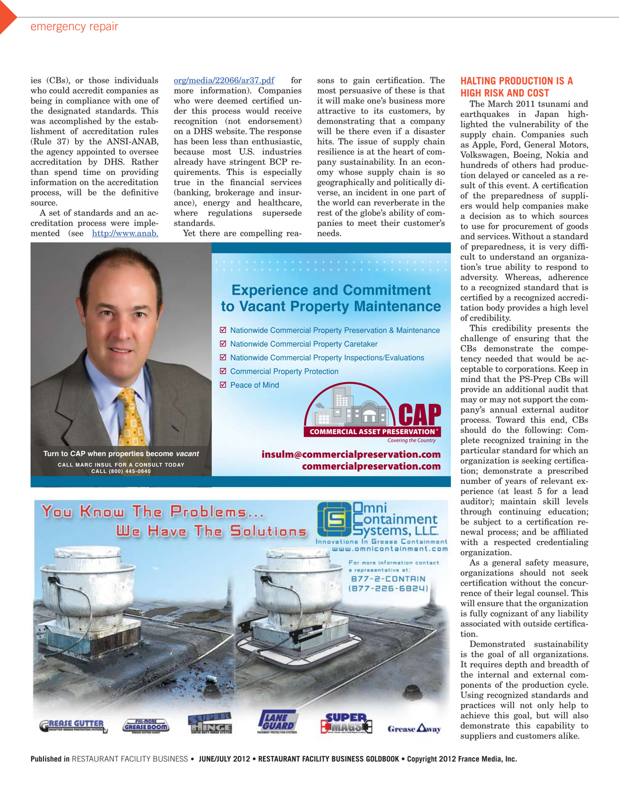ies (CBs), or those individuals who could accredit companies as being in compliance with one of the designated standards. This was accomplished by the establishment of accreditation rules (Rule 37) by the ANSI-ANAB, the agency appointed to oversee accreditation by DHS. Rather than spend time on providing information on the accreditation process, will be the definitive source.

A set of standards and an accreditation process were implemented (see http://www.anab.

 $org/media/22066/ar37.pdf$  for more information). Companies who were deemed certified under this process would receive recognition (not endorsement) on a DHS website. The response has been less than enthusiastic, because most U.S. industries already have stringent BCP requirements. This is especially true in the financial services (banking, brokerage and insurance), energy and healthcare, where regulations supersede standards.

Yet there are compelling rea-

sons to gain certification. The most persuasive of these is that it will make one's business more attractive to its customers, by demonstrating that a company will be there even if a disaster hits. The issue of supply chain resilience is at the heart of company sustainability. In an economy whose supply chain is so geographically and politically diverse, an incident in one part of the world can reverberate in the rest of the globe's ability of companies to meet their customer's needs.



**Turn to CAP when properties become** *vacant* **CALL MArC insuL for A ConsuLT TodAy CALL (800) 445-0640**

## COMMERCIAL ASSET PRESERVATION<sup>®</sup> ■ Nationwide Commercial Property Preservation & Maintenance **Ø Nationwide Commercial Property Caretaker**  $\boxtimes$  Nationwide Commercial Property Inspections/Evaluations ■ Commercial Property Protection ■ Peace of Mind **Experience and Commitment to Vacant Property Maintenance**

*Covering the Country*

insulm@commercialpreservation.com commercialpreservation.com



#### **Halting Production is a High Risk and Cost**

The March 2011 tsunami and earthquakes in Japan highlighted the vulnerability of the supply chain. Companies such as Apple, Ford, General Motors, Volkswagen, Boeing, Nokia and hundreds of others had production delayed or canceled as a result of this event. A certification of the preparedness of suppliers would help companies make a decision as to which sources to use for procurement of goods and services. Without a standard of preparedness, it is very difficult to understand an organization's true ability to respond to adversity. Whereas, adherence to a recognized standard that is certified by a recognized accreditation body provides a high level of credibility.

This credibility presents the challenge of ensuring that the CBs demonstrate the competency needed that would be acceptable to corporations. Keep in mind that the PS-Prep CBs will provide an additional audit that may or may not support the company's annual external auditor process. Toward this end, CBs should do the following: Complete recognized training in the particular standard for which an organization is seeking certification; demonstrate a prescribed number of years of relevant experience (at least 5 for a lead auditor); maintain skill levels through continuing education; be subject to a certification renewal process; and be affiliated with a respected credentialing organization.

As a general safety measure, organizations should not seek certification without the concurrence of their legal counsel. This will ensure that the organization is fully cognizant of any liability associated with outside certification.

Demonstrated sustainability is the goal of all organizations. It requires depth and breadth of the internal and external components of the production cycle. Using recognized standards and practices will not only help to achieve this goal, but will also demonstrate this capability to suppliers and customers alike.